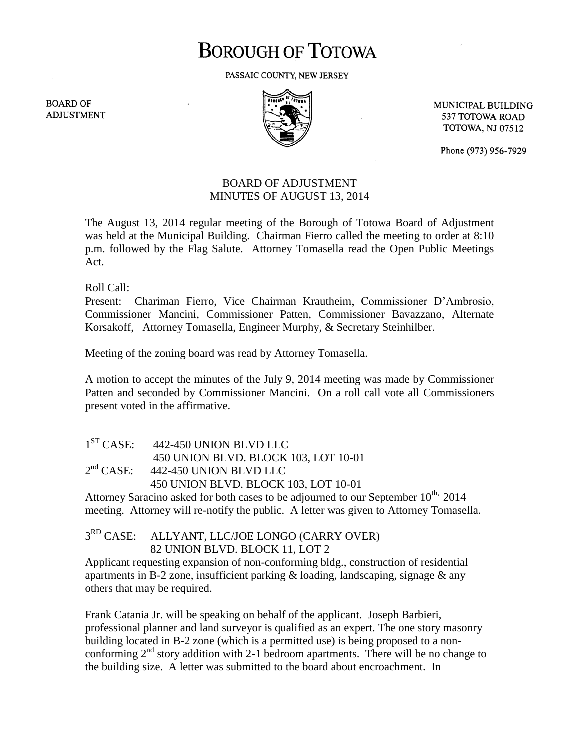## **BOROUGH OF TOTOWA**

PASSAIC COUNTY, NEW JERSEY

**BOARD OF ADJUSTMENT** 



MUNICIPAL BUILDING 537 TOTOWA ROAD **TOTOWA, NJ 07512** 

Phone (973) 956-7929

## BOARD OF ADJUSTMENT MINUTES OF AUGUST 13, 2014

The August 13, 2014 regular meeting of the Borough of Totowa Board of Adjustment was held at the Municipal Building. Chairman Fierro called the meeting to order at 8:10 p.m. followed by the Flag Salute. Attorney Tomasella read the Open Public Meetings Act.

Roll Call:

Present: Chariman Fierro, Vice Chairman Krautheim, Commissioner D'Ambrosio, Commissioner Mancini, Commissioner Patten, Commissioner Bavazzano, Alternate Korsakoff, Attorney Tomasella, Engineer Murphy, & Secretary Steinhilber.

Meeting of the zoning board was read by Attorney Tomasella.

A motion to accept the minutes of the July 9, 2014 meeting was made by Commissioner Patten and seconded by Commissioner Mancini. On a roll call vote all Commissioners present voted in the affirmative.

| 1 <sup>ST</sup> CASE: | 442-450 UNION BLVD LLC               |
|-----------------------|--------------------------------------|
|                       | 450 UNION BLVD. BLOCK 103, LOT 10-01 |
| 2 <sup>nd</sup> CASE: | 442-450 UNION BLVD LLC               |
|                       | 450 UNION BLVD. BLOCK 103, LOT 10-01 |

Attorney Saracino asked for both cases to be adjourned to our September  $10^{th}$ , 2014 meeting. Attorney will re-notify the public. A letter was given to Attorney Tomasella.

 $3^{RD}$  CASE: ALLYANT, LLC/JOE LONGO (CARRY OVER) 82 UNION BLVD. BLOCK 11, LOT 2

Applicant requesting expansion of non-conforming bldg., construction of residential apartments in B-2 zone, insufficient parking  $\&$  loading, landscaping, signage  $\&$  any others that may be required.

Frank Catania Jr. will be speaking on behalf of the applicant. Joseph Barbieri, professional planner and land surveyor is qualified as an expert. The one story masonry building located in B-2 zone (which is a permitted use) is being proposed to a nonconforming  $2<sup>nd</sup>$  story addition with 2-1 bedroom apartments. There will be no change to the building size. A letter was submitted to the board about encroachment. In